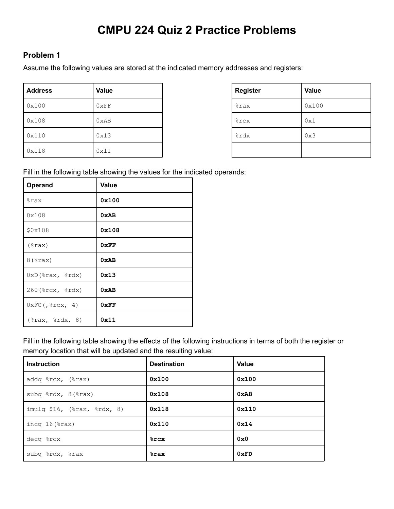# **CMPU 224 Quiz 2 Practice Problems**

## **Problem 1**

Assume the following values are stored at the indicated memory addresses and registers:

| <b>Address</b> | Value | <b>Register</b>    | <b>Value</b> |
|----------------|-------|--------------------|--------------|
| 0x100          | 0xFF  | <i><b>%rax</b></i> | 0x100        |
| 0x108          | 0xAB  | <b>&amp;rcx</b>    | 0x1          |
| 0x110          | 0x13  | %rdx               | 0x3          |
| 0x118          | 0x11  |                    |              |

| <b>Register</b> | <b>Value</b> |
|-----------------|--------------|
| %rax            | 0x100        |
| %rcx            | 0x1          |
| %rdx            | 0x3          |
|                 |              |

Fill in the following table showing the values for the indicated operands:

| Operand                             | <b>Value</b> |
|-------------------------------------|--------------|
| %rax                                | 0x100        |
| 0x108                               | 0xAB         |
| \$0x108                             | 0x108        |
| $(*\text{rax})$                     | 0xFF         |
| $8$ $(*$ rax $)$                    | 0xAB         |
| $0xD$ $*rx$ , $*xdx$                | 0x13         |
| 260 (%rcx, %rdx)                    | 0xAB         |
| $0 \times FC$ (, $\text{srcx}$ , 4) | 0xFF         |
| $(\text{grav}, \text{grad } 8)$     | 0x11         |

Fill in the following table showing the effects of the following instructions in terms of both the register or memory location that will be updated and the resulting value:

| <b>Instruction</b>          | <b>Destination</b> | <b>Value</b> |
|-----------------------------|--------------------|--------------|
| addq %rcx, (%rax)           | 0x100              | 0x100        |
| subq %rdx, 8(%rax)          | 0x108              | 0xA8         |
| imulq \$16, (%rax, %rdx, 8) | 0x118              | 0x110        |
| incq $16$ ( $\text{grav}$ ) | 0x110              | 0x14         |
| decq %rcx                   | $8$ rcx            | 0x0          |
| subq %rdx, %rax             | $8$ rax            | 0xFD         |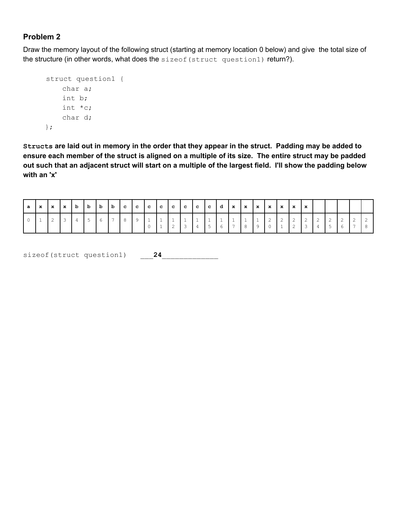Draw the memory layout of the following struct (starting at memory location 0 below) and give the total size of the structure (in other words, what does the sizeof (struct question1) return?).

```
struct question1 {
    char a;
    int b;
    int *c;
    char d;
};
```
Structs are laid out in memory in the order that they appear in the struct. Padding may be added to ensure each member of the struct is aligned on a multiple of its size. The entire struct may be padded out such that an adjacent struct will start on a multiple of the largest field. I'll show the padding below **with an 'x'**

| ∣a. |  |                |  |         |  |  | x  x  x  b  b  b  b  c  c  c  c  c  c  c  d  x  x  x  x  x  x  x |            |  |  |       |                                           |  |  |            |  |
|-----|--|----------------|--|---------|--|--|------------------------------------------------------------------|------------|--|--|-------|-------------------------------------------|--|--|------------|--|
|     |  | $\overline{3}$ |  | 6 7 8 9 |  |  | $\overline{2}$                                                   | $\sqrt{2}$ |  |  | 56789 | $\begin{array}{c c} 0 & 1 \\ \end{array}$ |  |  | $\sqrt{2}$ |  |

sizeof(struct question1)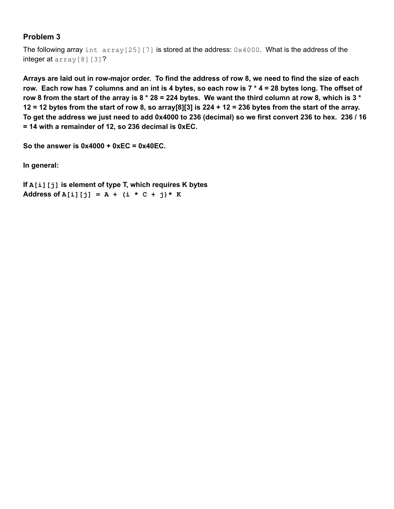The following array int  $array[25][7]$  is stored at the address:  $0x4000$ . What is the address of the integer at array<sup>[8][3]?</sup>

Arrays are laid out in row-major order. To find the address of row 8, we need to find the size of each row. Each row has 7 columns and an int is 4 bytes, so each row is  $7 * 4 = 28$  bytes long. The offset of row 8 from the start of the array is 8  $*$  28 = 224 bytes. We want the third column at row 8, which is 3  $*$ 12 = 12 bytes from the start of row 8, so array[8][3] is  $224 + 12 = 236$  bytes from the start of the array. To get the address we just need to add 0x4000 to 236 (decimal) so we first convert 236 to hex. 236 / 16 **= 14 with a remainder of 12, so 236 decimal is 0xEC.**

**So the answer is 0x4000 + 0xEC = 0x40EC.**

**In general:**

**If A[i][j] is element of type T, which requires K bytes Address of A[i][j] = A + (i \* C + j)\* K**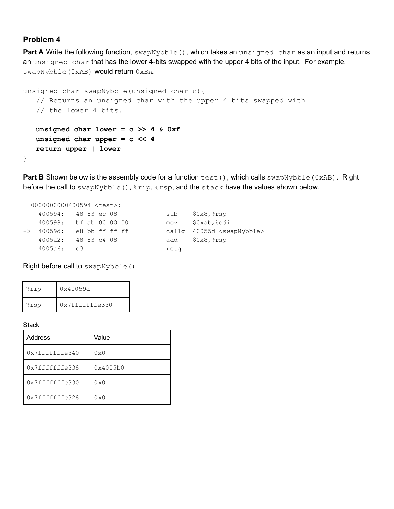**Part A** Write the following function, swapNybble(), which takes an unsigned char as an input and returns an unsigned char that has the lower 4-bits swapped with the upper 4 bits of the input. For example, swapNybble(0xAB) would return 0xBA.

```
unsigned char swapNybble(unsigned char c){
  // Returns an unsigned char with the upper 4 bits swapped with
   // the lower 4 bits.
  unsigned char lower = c >> 4 & 0xf
  unsigned char upper = c << 4
  return upper | lower
}
```
**Part B** Shown below is the assembly code for a function test(), which calls swapNybble(0xAB). Right before the call to swapNybble(),  $*rip$ ,  $*rsp$ , and the stack have the values shown below.

|            | 0000000000400594 <test>:</test> |      |                                        |
|------------|---------------------------------|------|----------------------------------------|
|            | 400594: 48 83 ec 08             | sub  | $$0x8,$ $$rsp$                         |
|            | 400598: bf ab 00 00 00          | mov  | \$0xab, %edi                           |
|            | -> 40059d: e8 bb ff ff ff       |      | callg 40055d <swapnybble></swapnybble> |
|            | 4005a2: 4883c408                |      | add \$0x8, %rsp                        |
| 4005a6: c3 |                                 | reta |                                        |

Right before call to swapNybble()

| %rip | 0x40059d       |
|------|----------------|
| %rsp | 0x7fffffffe330 |

#### **Stack**

| <b>Address</b>  | Value        |
|-----------------|--------------|
| 0x7fffffffe340  | $0 \times 0$ |
| 0x7ffffffffe338 | 0x4005b0     |
| 0x7ffffffffe330 | $0 \times 0$ |
| 0x7fffffffe328  | $0 \times 0$ |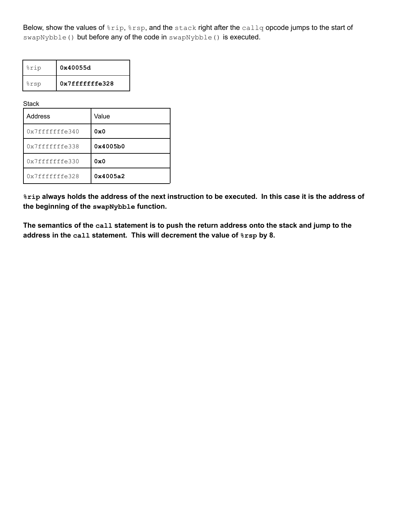Below, show the values of  $r_{\text{trip}}$ ,  $r_{\text{ssp}}$ , and the stack right after the callq opcode jumps to the start of swapNybble() but before any of the code in swapNybble() is executed.

| %rip | 0x40055d       |
|------|----------------|
| %rsp | 0x7fffffffe328 |

**Stack** 

| Address         | Value    |
|-----------------|----------|
| 0x7fffffffe340  | 0x0      |
| 0x7fffffffe338  | 0x4005b0 |
| 0x7ffffffffe330 | 0x0      |
| 0x7fffffffe328  | 0x4005a2 |

%rip always holds the address of the next instruction to be executed. In this case it is the address of **the beginning of the swapNybble function.**

The semantics of the call statement is to push the return address onto the stack and jump to the **address in the call statement. This will decrement the value of %rsp by 8.**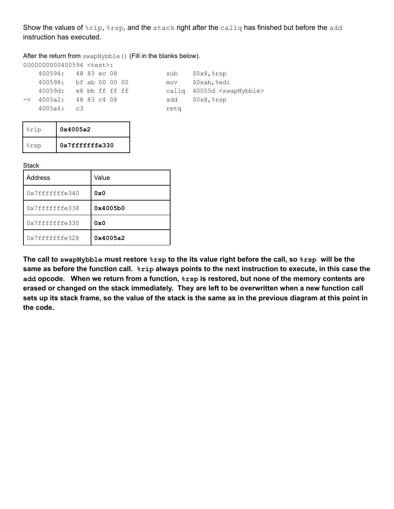Show the values of  $rip$ ,  $rsp$ , and the stack right after the callq has finished but before the add instruction has executed.

After the return from swapNybble() (Fill in the blanks below).

| 0000000000400594 <test>:</test> |  |             |  |      |                                        |
|---------------------------------|--|-------------|--|------|----------------------------------------|
| 400594: 48 83 ec 08             |  |             |  | sub  | $$0x8,$ $$rsp$                         |
| 400598: bf ab 00 00 00          |  |             |  | mov  | \$0xab, %edi                           |
| 40059d: e8 bb ff ff ff          |  |             |  |      | callg 40055d <swapnybble></swapnybble> |
| $\rightarrow$ 4005a2:           |  | 48 83 c4 08 |  |      | add \$0x8, %rsp                        |
| 4005a6: c3                      |  |             |  | retg |                                        |
|                                 |  |             |  |      |                                        |

| %rip | 0x4005a2       |
|------|----------------|
| %rsp | 0x7fffffffe330 |

**Stack** 

| Address         | Value    |
|-----------------|----------|
| 0x7fffffffe340  | 0x0      |
| 0x7ffffffffe338 | 0x4005b0 |
| 0x7fffffffe330  | 0x0      |
| 0x7ffffffffe328 | 0x4005a2 |

The call to swapNybble must restore  $8$ rsp to the its value right before the call, so  $8$ rsp will be the same as before the function call.  $\frac{1}{2}$  always points to the next instruction to execute, in this case the **add opcode. When we return from a function, %rsp is restored, but none of the memory contents are** erased or changed on the stack immediately. They are left to be overwritten when a new function call sets up its stack frame, so the value of the stack is the same as in the previous diagram at this point in **the code.**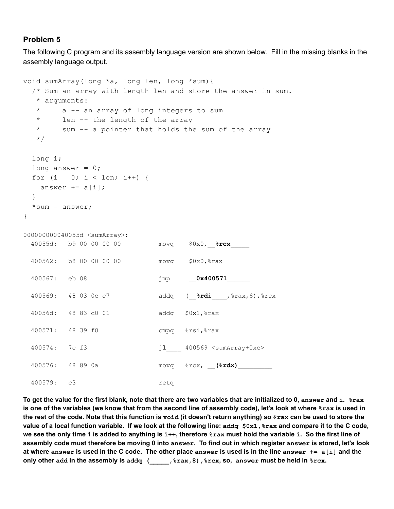The following C program and its assembly language version are shown below. Fill in the missing blanks in the assembly language output.

```
void sumArray(long *a, long len, long *sum){
 /* Sum an array with length len and store the answer in sum.
  * arguments:
  * a -- an array of long integers to sum
  * len -- the length of the array
  * sum -- a pointer that holds the sum of the array
  */
 long i;
 long answer = 0;
 for (i = 0; i < len; i++) {
   answer += a[i];}
 *sum = answer;}
000000000040055d <sumArray>:
 40055d: b9 00 00 00 00 movq $0x0,__%rcx_____
 400562: b8 00 00 00 00 movq $0x0,%rax
 400567: eb 08 jmp __0x400571______
 400569: 48 03 0c c7 addq (__%rdi____,%rax,8),%rcx
 40056d: 48 83 c0 01 addq $0x1,%rax
 400571: 48 39 f0 cmpq %rsi,%rax
 400574: 7c f3 jl____ 400569 <sumArray+0xc>
 400576: 48 89 0a movq %rcx, __(%rdx)_________
 400579: c3 retq
```
To get the value for the first blank, note that there are two variables that are initialized to 0, answer and i.  $\frac{1}{2}$ rax is one of the variables (we know that from the second line of assembly code), let's look at where  $\frac{1}{2}$  is used in the rest of the code. Note that this function is void (it doesn't return anything) so  $\frac{1}{2}$  can be used to store the value of a local function variable. If we look at the following line: addq \$0x1, \$rax and compare it to the C code, we see the only time 1 is added to anything is i++, therefore  $8$ rax must hold the variable i. So the first line of assembly code must therefore be moving 0 into answer. To find out in which register answer is stored, let's look at where answer is used in the C code. The other place answer is used is in the line answer  $+= a[i]$  and the **only other add in the assembly is addq (\_\_\_\_\_,%rax,8),%rcx, so, answer must be held in %rcx.**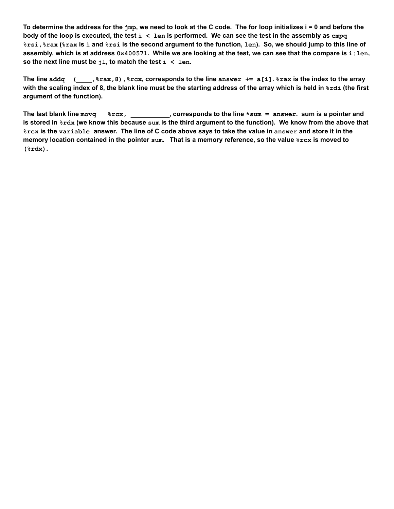To determine the address for the  $j_{mp}$ , we need to look at the C code. The for loop initializes  $i = 0$  and before the body of the loop is executed, the test  $i < 1$ en is performed. We can see the test in the assembly as  $cmpq$ %rsi, %rax (%rax is i and %rsi is the second argument to the function, len). So, we should jump to this line of assembly, which is at address 0x400571. While we are looking at the test, we can see that the compare is i:len, **so** the next line must be  $j1$ , to match the test  $i < 1$ en.

The line addq  $($ ,  $\frac{1}{2}$   $\frac{1}{2}$   $\frac{1}{2}$   $\frac{1}{2}$   $\frac{1}{2}$   $\frac{1}{2}$   $\frac{1}{2}$   $\frac{1}{2}$   $\frac{1}{2}$   $\frac{1}{2}$   $\frac{1}{2}$   $\frac{1}{2}$   $\frac{1}{2}$   $\frac{1}{2}$   $\frac{1}{2}$   $\frac{1}{2}$   $\frac{1}{2}$   $\frac{1}{2}$   $\frac{1}{2}$   $\frac{1}{2}$   $\$ with the scaling index of 8, the blank line must be the starting address of the array which is held in  $8rdi$  (the first **argument of the function).**

The last blank line movq  $rac{3r}{x}$ ,  $rac{3r}{x}$ , corresponds to the line  $*$ sum = answer. sum is a pointer and is stored in  $s$ rdx (we know this because sum is the third argument to the function). We know from the above that &rcx is the variable answer. The line of C code above says to take the value in answer and store it in the memory location contained in the pointer sum. That is a memory reference, so the value  $rac{x}{x}$  is moved to **(%rdx).**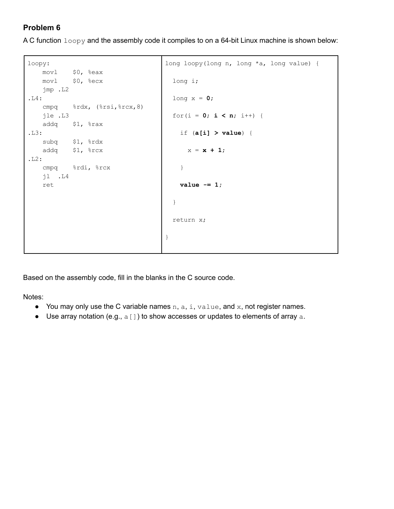A C function  $logy$  and the assembly code it compiles to on a 64-bit Linux machine is shown below:

```
loopy:
  movl $0, %eax
   movl $0, %ecx
   jmp .L2
.L4:
   cmpq %rdx, (%rsi,%rcx,8)
   jle .L3
   addq $1, %rax
.L3:
   subq $1, %rdx
   addq $1, %rcx
.L2:
   cmpq %rdi, %rcx
   jl .L4
   ret
                                  long loopy(long n, long *a, long value) {
                                    long i;
                                    long x = 0;
                                    for(i = 0; i < n; i++) {
                                     if (a[i] > value) {
                                      x = x + 1;}
                                     value -= 1;
                                    }
                                    return x;
                                  }
```
Based on the assembly code, fill in the blanks in the C source code.

Notes:

- You may only use the C variable names  $n, a, i, value, and x, not register names.$
- Use array notation (e.g.,  $a[]$ ) to show accesses or updates to elements of array  $a$ .